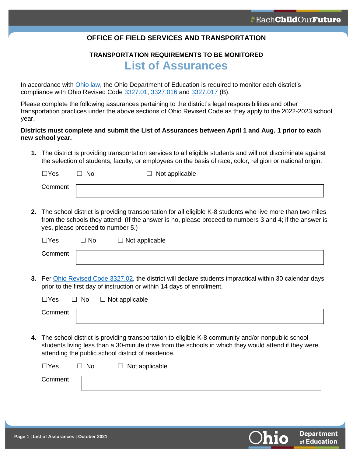**Department** of Education

### **OFFICE OF FIELD SERVICES AND TRANSPORTATION**

## **TRANSPORTATION REQUIREMENTS TO BE MONITORED List of Assurances**

In accordance with [Ohio law,](https://codes.ohio.gov/ohio-revised-code/section-3327.021) the Ohio Department of Education is required to monitor each district's compliance with Ohio Revised Code [3327.01,](https://codes.ohio.gov/ohio-revised-code/section-3327.01) [3327.016](https://codes.ohio.gov/ohio-revised-code/section-3327.016) and [3327.017](https://codes.ohio.gov/ohio-revised-code/section-3327.017) (B).

Please complete the following assurances pertaining to the district's legal responsibilities and other transportation practices under the above sections of Ohio Revised Code as they apply to the 2022-2023 school year.

#### **Districts must complete and submit the List of Assurances between April 1 and Aug. 1 prior to each new school year.**

**1.** The district is providing transportation services to all eligible students and will not discriminate against the selection of students, faculty, or employees on the basis of race, color, religion or national origin.

| $\Box$ Yes | No | $\Box$ Not applicable |
|------------|----|-----------------------|
| Comment    |    |                       |

**2.** The school district is providing transportation for all eligible K-8 students who live more than two miles from the schools they attend. (If the answer is no, please proceed to numbers 3 and 4; if the answer is yes, please proceed to number 5.)

| $\Box$ Yes | $\neg$ No | $\Box$ Not applicable |
|------------|-----------|-----------------------|
| Comment    |           |                       |

**3.** Per [Ohio Revised Code 3327.02,](https://codes.ohio.gov/ohio-revised-code/section-3327.02) the district will declare students impractical within 30 calendar days prior to the first day of instruction or within 14 days of enrollment.

| $\Box$ Yes | $\Box$<br>No | $\Box$ Not applicable |  |  |  |  |
|------------|--------------|-----------------------|--|--|--|--|
| Comment    |              |                       |  |  |  |  |

**4.** The school district is providing transportation to eligible K-8 community and/or nonpublic school students living less than a 30-minute drive from the schools in which they would attend if they were attending the public school district of residence.

| $\Box Y$ es | No | $\Box$ Not applicable |
|-------------|----|-----------------------|
| Comment     |    |                       |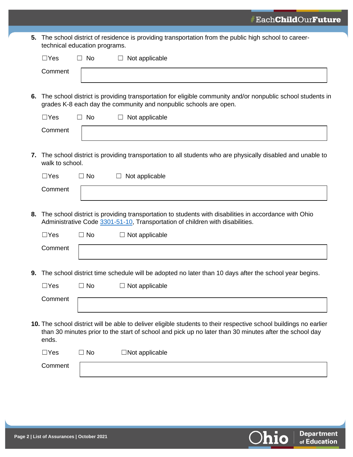**5.** The school district of residence is providing transportation from the public high school to careertechnical education programs.

|    | $\Box$ Yes      | $\Box$       | No        | Not applicable                                                                                                                                                                                                              |
|----|-----------------|--------------|-----------|-----------------------------------------------------------------------------------------------------------------------------------------------------------------------------------------------------------------------------|
|    | Comment         |              |           |                                                                                                                                                                                                                             |
| 6. |                 |              |           | The school district is providing transportation for eligible community and/or nonpublic school students in<br>grades K-8 each day the community and nonpublic schools are open.                                             |
|    | $\Box$ Yes      |              | $\Box$ No | $\Box$ Not applicable                                                                                                                                                                                                       |
|    | Comment         |              |           |                                                                                                                                                                                                                             |
| 7. | walk to school. |              |           | The school district is providing transportation to all students who are physically disabled and unable to                                                                                                                   |
|    | $\Box$ Yes      |              | $\Box$ No | Not applicable<br>⊔                                                                                                                                                                                                         |
|    | Comment         |              |           |                                                                                                                                                                                                                             |
| 8. |                 |              |           | The school district is providing transportation to students with disabilities in accordance with Ohio<br>Administrative Code 3301-51-10, Transportation of children with disabilities.                                      |
|    | $\Box$ Yes      |              | $\Box$ No | $\Box$ Not applicable                                                                                                                                                                                                       |
|    | Comment         |              |           |                                                                                                                                                                                                                             |
|    |                 |              |           |                                                                                                                                                                                                                             |
|    |                 |              |           | 9. The school district time schedule will be adopted no later than 10 days after the school year begins.                                                                                                                    |
|    | $\Box$ Yes      |              | $\Box$ No | $\Box$ Not applicable                                                                                                                                                                                                       |
|    | Comment         |              |           |                                                                                                                                                                                                                             |
|    | ends.           |              |           | 10. The school district will be able to deliver eligible students to their respective school buildings no earlier<br>than 30 minutes prior to the start of school and pick up no later than 30 minutes after the school day |
|    | $\Box$ Yes      | $\mathbf{I}$ | No        | $\Box$ Not applicable                                                                                                                                                                                                       |
|    | Comment         |              |           |                                                                                                                                                                                                                             |

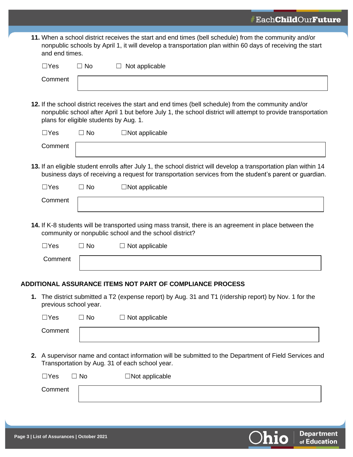| 11. When a school district receives the start and end times (bell schedule) from the community and/or     |
|-----------------------------------------------------------------------------------------------------------|
| nonpublic schools by April 1, it will develop a transportation plan within 60 days of receiving the start |
| and end times.                                                                                            |

| $\Box$ Yes            | $\Box$ No                              | Not applicable                                                                                                                                                                                                               |
|-----------------------|----------------------------------------|------------------------------------------------------------------------------------------------------------------------------------------------------------------------------------------------------------------------------|
| Comment               |                                        |                                                                                                                                                                                                                              |
|                       | plans for eligible students by Aug. 1. | 12. If the school district receives the start and end times (bell schedule) from the community and/or<br>nonpublic school after April 1 but before July 1, the school district will attempt to provide transportation        |
| $\Box$ Yes            | $\Box$ No                              | $\Box$ Not applicable                                                                                                                                                                                                        |
| Comment               |                                        |                                                                                                                                                                                                                              |
|                       |                                        | 13. If an eligible student enrolls after July 1, the school district will develop a transportation plan within 14<br>business days of receiving a request for transportation services from the student's parent or guardian. |
| $\Box$ Yes            | $\Box$ No                              | $\Box$ Not applicable                                                                                                                                                                                                        |
| Comment               |                                        |                                                                                                                                                                                                                              |
| $\Box$ Yes            | $\Box$ No                              | 14. If K-8 students will be transported using mass transit, there is an agreement in place between the<br>community or nonpublic school and the school district?<br>$\Box$ Not applicable                                    |
| Comment               |                                        |                                                                                                                                                                                                                              |
|                       |                                        | <b>ADDITIONAL ASSURANCE ITEMS NOT PART OF COMPLIANCE PROCESS</b>                                                                                                                                                             |
| previous school year. |                                        | 1. The district submitted a T2 (expense report) by Aug. 31 and T1 (ridership report) by Nov. 1 for the                                                                                                                       |
| $\Box$ Yes            | $\Box$ No                              | Not applicable                                                                                                                                                                                                               |
| Comment               |                                        |                                                                                                                                                                                                                              |
|                       |                                        | 2. A supervisor name and contact information will be submitted to the Department of Field Services and<br>Transportation by Aug. 31 of each school year.                                                                     |
| $\Box$ Yes            | $\Box$ No                              | $\Box$ Not applicable                                                                                                                                                                                                        |
| Comment               |                                        |                                                                                                                                                                                                                              |